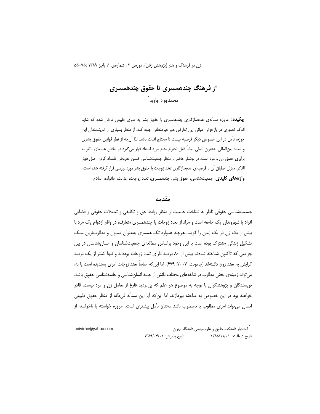# از فرهنگ چندهمسری تا حقوق چندهمسری محمدجواد جاويد ً

**چکیده:** امروزه مسألهی عدمسازگاری چندهمسری با حقوق بشر به قدری طبیعی فرض شده که شاید اندک تصوری در بازخوانی مبانی این تعارض هم غیرمنطقی جلوه کند. از منظر بسیاری از اندیشمندان این حوزه، تأمل در این خصوص دیگر فرضیه نیست تا محتاج اثبات باشد. لذا آن چه از نظر قوانین حقوق بشری و اسناد بین|لمللی بهعنوان اصلی تماماً قابل احترام مدام مورد استناد قرار می گیرد در بخش عمدمای ناظر به برابری حقوق زن و مرد است. در نوشتار حاضر از منظر جمعیتشناسی ضمن مفروض قلمداد کردن اصل فوق الذكر، ميزان انطباق آن با فرضيهى عدمسازگارى تعدد زوجات با حقوق بشر مورد بررسى قرار گرفته شده است. **واژههای کلیدی**: جمعیتشناسی، حقوق بشر، چندهمسری، تعدد زوجات، عدالت، خانواده، اسلام.

#### مقدمه

جمعیتشناسی حقوقی ناظر به شناخت جمعیت از منظر روابط حق و تکلیفی و تعاملات حقوقی و قضایی افراد یا شهروندان یک جامعه است و مراد از تعدد زوجات یا چندهمسری متعارف، در واقع ازدواج یک مرد با بیش از یک زن در یک زمان را گویند. هرچند همواره تک همسری بهعنوان معمول و مطلوبترین سبک تشکیل زندگی مشترک بوده است با این وجود براساس مطالعهی جمعیتشناسان و انسانشناسان در بین جوامعی که تاکنون شناخته شدهاند بیش از ۸۰ درصد دارای تعدد زوجات بودهاند و تنها کمتر از یک درصد گرایش به تعدد زوج داشتهاند (چامونت، ۲۰۰۷: ۶۷۹). اما این که اساساً تعدد زوجات امری پسندیده است یا نه، می تواند زمینهی بحثی مطلوب در شاخههای مختلف دانش از جمله انسانشناسی و جامعهشناسی حقوق باشد. نویسندگان و پژوهشگران با توجه به موضوع هر علم که بی تردید فارغ از تعامل زن و مرد نیست، قادر خواهند بود در این خصوص به مباحثه بپردازند. اما این که آیا این مسأله فی<اته از منظر حقوق طبیعی انسان می تواند امری مطلوب یا نامطلوب باشد محتاج تأمل بیشتری است. امروزه خواسته یا ناخواسته از

> .<br>\* استادیار دانشکده حقوق و علومسیاسی دانشگاه تهران تاریخ پذیرش: ۱۳۸۹/۰۴/۰۱ تاریخ دریافت: ۱۳۸۸/۱۱/۰۱

univiran@yahoo.com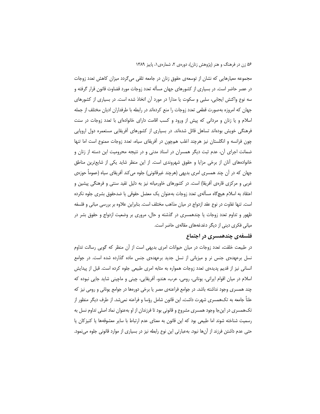مجموعه معیارهایی که نشان از توسعهی حقوق زنان در جامعه تلقی می گردد میزان کاهش تعدد زوجات در عصر حاضر است. در بسیاری از کشورهای جهان مسأله تعدد زوجات مورد قضاوت قانون قرار گرفته و سه نوع واکنش ایجابی، سلبی و سکوت یا مدارا در مورد آن اتخاذ شده است. در بسیاری از کشورهای جهان که امروزه بهصورت قطعی تعدد زوجات را منع کردهاند در رابطه با طرفداران ادیان مختلف از جمله اسلام و یا زنان و مردانی که پیش از ورود و کسب اقامت دارای خانوادهای با تعدد زوجات در سنت فرهنگی خویش بودهاند تساهل قائل شدهاند. در بسیاری از کشورهای اَفریقایی مستعمره دول اروپایی چون فرانسه و انگلستان نیز هرچند اغلب همچون در آفریقای سیاه، تعدد زوجات ممنوع است اما تنها ضمانت اجرای آن، عدم ثبت دیگر همسران در اسناد مدنی و در نتیجه محرومیت این دسته از زنان و خانوادههای أنان از برخی مزایا و حقوق شهروندی است. از این منظر شاید یکی از شایعترین مناطق جهان که در آن چند همسری امری بدیهی (هرچند غیرقانونی) جلوه میکند آفریقای سیاه (عموماً حوزهی غربی و مرکزی قارەی آفریقا) است. در کشورهای خاورمیانه نیز به دلیل تقید سنتی و فرهنگی پیشین و اعتقاد به اسلام هیچگاه مسألهی تعدد زوجات بهعنوان یک معضل حقوقی یا ضدحقوق بشری جلوه نکرده است. تنها تفاوت در نوع عقد ازدواج در میان مذاهب مختلف است. بنابراین علاوه بر بررسی مبانی و فلسفه ظهور و تداوم تعدد زوجات یا چندهمسری در گذشته و حال، مروری بر وضعیت ازدواج و حقوق بشر در میانی فکری دینی از دیگر دغدغههای مقالهی حاضر است.

## فلسفهی چندهمسری در اجتماع

در طبیعت خلقت، تعدد زوجات در میان حیوانات امری بدیهی است از آن منظر که گویی رسالت تداوم نسل برعهدهی جنس نر و میزبانی از نسل جدید برعهدهی جنس ماده گذارده شده است. در جوامع انسانی نیز از قدیم پدیدهی تعدد زوجات همواره به مثابه امری طبیعی جلوه کرده است. قبل از پیدایش اسلام در میان اقوام ایرانی، یونانی، رومی، عرب، هندو، آفریقایی، چینی و ماچینی شاید جایی نبوده که چند همسری وجود نداشته باشد. در جوامع فراعنهی مصر یا برخی دورهها در جوامع یونانی و رومی نیز که علناً جامعه به تکهمسری شهرت داشت، این قانون شامل رؤسا و فراعنه نمیشد. از طرف دیگر منظور از تکهمسری در اینجا وجود همسری مشروع و قانونی بود تا فرزندان از او بهعنوان نماد اصلی تداوم نسل به رسمیت شناخته شوند اما طبیعی بود که این قانون به معنای عدم ارتباط با سایر معشوقهها یا کنیزکان یا حتی عدم داشتن فرزند از آنها نبود. بهعبارتی این نوع رابطه نیز در بسیاری از موارد قانونی جلوه مینمود.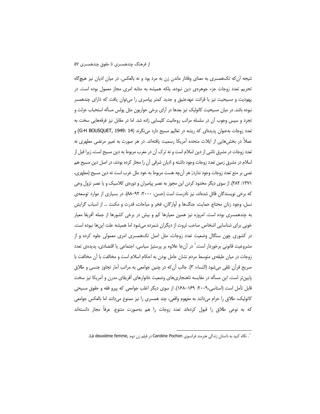نتیجه أن که تکهمسری به معنای وفادار ماندن زن به مرد بود و نه بالعکس. در میان ادیان نیز هیچگاه تحریم تعدد زوجات جزء جوهرهی دین نبوده، بلکه همیشه به مثابه امری مجاز معمول بوده است. در یهودیت و مسیحیت نیز با قرائت عهدعتیق و جدید کمتر پیامبری را می توان یافت که دارای چندهمسر نبوده باشد. در میان مسیحیت کاتولیک نیز بعدها در آرای برخی حواریون مثل پولس مسأله استحباب عزلت و تجرد و سپس وجوب آن در سلسله مراتب روحانیت کلیسایی زاده شد. اما در مقابل نیز فرقههایی سخت به تعدد زوجات بهعنوان پدیدهای که ریشه در تعالیم مسیح دارد مینگرند (G-H BOUSQUET, 1949: 14) و عملاً در بخش هایی از ایلات متحده آمریکا رسمیت یافتهاند. در هر صورت به تعبیر مرتضی مطهری نه تعدد زوجات در مشرق ناشی از دین اسلام است و نه ترک آن در مغرب مربوط به دین مسیح است، زیرا قبل از اسلام در مشرق زمین تعدد زوجات وجود داشته و ادیان شرقی آن را مجاز کرده بودند، در اصل دین مسیح هم نصی بر منع تعدد زوجات وجود ندارد; هر آنچه هست مربوط به خود ملل غرب است نه دین مسیح (مطهری، ٬۱۳۷۱ ۲۸۲). از سوی دیگر محدود کردن این مجوز به عصر پیامبران و دورهی کلاسیک و یا عصر نزول وحی که برخی نویسندگان قائل شدهاند، نیز نادرست است (حسن، ۲۰۰۰: ۹۲–۸۸). در بسیاری از موارد توسعهی نسل، وجود زنان محتاج حمایت، جنگ@ا و اّوارگان، فخر و مباحات، قدرت و مکنت … از اسباب گرایش به چندهمسری بوده است. امروزه نیز همین معیارها کم و بیش در برخی کشورها از جمله آفریقا معیار خوبی برای شناسایی اشخاص صاحب ثروت از دیگران شمرده میشود اما همیشه علت اینها نبوده است. در کشوری چون سنگال وضعیت تعدد زوجات، مثل اصل تکهمسری امری معمولی جلوه کرده و از مشروعیت قانونی برخوردار است.' در آنجا علاوه بر پرستیژ سیاسی، اجتماعی یا اقتصادی، پدیدهی تعدد زوجات در میان طبقهی متوسط مردم نشان عامل بودن به احکام اسلام است و مخالفت با آن مخالفت با صريح قرآن تلقى مىشود (النساء: ٣). جالب آن كه در چنين جوامعى به مراتب آمار تجاوز جنسى و طلاق پایین تر است. این مسأله در مقایسه ناهنجاریهای وضعیت خانوارهای آفریقای مدرن و آمریکا نیز سخت قابل تأمل است (استاسی،۲۰۰۹: ۱۶۹–۱۶۸). از سوی دیگر اغلب جوامعی که پیرو فقه و حقوق مسیحی کاتولیک، طلاق را حرام میدانند به مفهوم واقعی، چند همسری را نیز ممنوع میدانند اما بالعکس جوامعی که به نوعی طلاق را قبول کردهاند تعدد زوجات را هم بهصورت متنوع، عرفاً مجاز دانستهاند

<sup>`.</sup> نگاه کنید به داستان زندگی هنرمند فرانسوی Caroline Pochon در فیلم زن دوم ,La deuxième femme.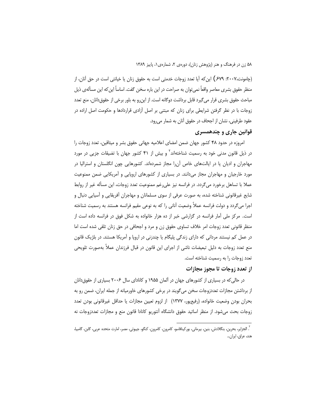(چامونت،۲۰۰۷: ۶۷۹\$) این که آیا تعدد زوجات خدمتی است به حقوق زنان یا خیانتی است در حق آنان، از منظر حقوق بشری معاصر واقعاً نمی توان به صراحت در این باره سخن گفت. اساساً این که این مسألهی ذیل مباحث حقوق بشری قرار می گیرد قابل برداشت دوگانه است. از این,رو به باور برخی از حقوق دانان، منع تعدد زوجات با در نظر گرفتن شرایطی برای زنان که مبتنی بر اصل آزادی قراردادها و حکومت اصل اراده در عقود طرفینی، نشان از اجحاف در حقوق آنان به شمار میرود.

# قوانین جاری و چندهمسری

امروزه در حدود ۴۸ کشور جهان ضمن امضای اعلامیه جهانی حقوق بشر و میثاقین، تعدد زوجات را در ذیل قانون مدنی خود به رسمیت شناختهاند<sup>۲</sup> و بیش از ۴۱ کشور جهان با تضیقات جزیی در مورد مهاجران و ادیان یا در ایالتهای خاص آن را مجاز شمردهاند. کشورهایی چون انگلستان و استرالیا در مورد خارجیان و مهاجران مجاز میدانند. در بسیاری از کشورهای اروپایی و آمریکایی ضمن ممنوعیت عملا با تساهل برخورد میگردد. در فرانسه نیز علی رغم ممنوعیت تعدد زوجات، این مسأله غیر از روابط شایع غیرقانونی شناخته شده، به صورت عرفی از سوی مسلمانان و مهاجران آفریقایی و آسیایی دنبال و اجرا می گردد و دولت فرانسه عملاً وضعیت آنانی را که به نوعی مقیم فرانسه هستند به رسمیت شناخته است. مرکز ملی آمار فرانسه در گزارشی خبر از ده هزار خانواده به شکل فوق در فرانسه داده است از منظر قانونی تعدد زوجات امر خلاف تساوی حقوق زن و مرد و اجحافی در حق زنان تلقی شده است اما در عمل کم نیستند مردانی که دارای زندگی پلیگام یا چندزنی در اروپا و آمریکا هستند. در بلژیک قانون منع تعدد زوجات به دلیل تبعیضات ناشی از اجرای این قانون در قبال فرزندان عملاً بهصورت تلویحی تعدد زوجات را به رسمیت شناخته است.

## از تعدد زوجات تا مجوز مجازات

در حالی که در بسیاری از کشورهای جهان در آلمان ۱۹۵۵ و کانادای سال ۲۰۰۶ بسیاری از حقوق دانان از برداشتن مجازات تعددزوجات سخن میگویند در برخی کشورهای خاورمیانه از جمله ایران، ضمن رو به بحران بودن وضعيت خانواده، (رفيعپور، ١٣٧٧) از لزوم تعيين مجازات يا حداقل غيرقانوني بودن تعدد زوجات بحث می شود. از منظر اساتید حقوق دانشگاه آنتوریو کانادا قانون منع و مجازات تعددزوجات نه

<sup>`.</sup> الجزایر، بحرین، بنگلادش، بنین، بیرمانی، بورکینافاسو، کامرون، کامرون، کنگو، جیبوتی، مصر، امارت متحده عربی، گابن، گامبیا، هند، عراق، ايران...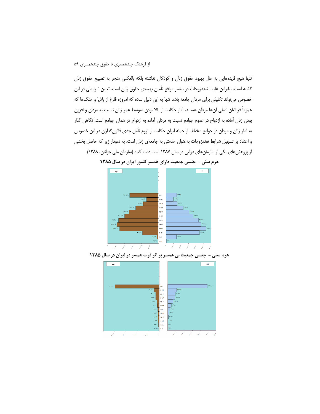تنها هيچ فايدههايي به حال بهبود حقوق زنان و كودكان نداشته بلكه بالعكس منجر به تضييع حقوق زنان گشته است. بنابراین غایت تعددزوجات در بیشتر مواقع تأمین بهینهی حقوق زنان است. تعیین شرایطی در این خصوص می تواند تکلیفی برای مردان جامعه باشد تنها به این دلیل ساده که امروزه فارغ از بلایا و جنگ ها که عموماً قربانیان اصلی آنها مردان هستند، آمار حکایت از بالا بودن متوسط عمر زنان نسبت به مردان و افزون بودن زنان آماده به ازدواج در عموم جوامع نسبت به مردان آماده به ازدواج در همان جوامع است. نگاهی گذار به آمار زنان و مردان در جوامع مختلف از جمله ایران حکایت از لزوم تأمل جدی قانون گذاران در این خصوص و اعتقاد بر تسهیل شرایط تعددزوجات بهعنوان خدمتی به جامعهی زنان است. به نمودار زیر که حاصل بخشی از پژوهش های یکی از سازمان های دولتی در سال ۱۳۸۷ است دقت کنید (سازمان ملی جوانان، ۱۳۸۸).



هرم سنی - جنسی جمعیت دارای همسر کشور ایران در سال ۱۳۸۵



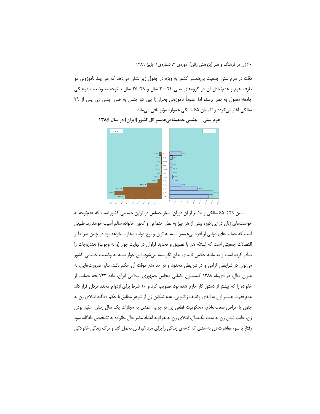دقت در هرم سنی جمعیت بیهمسر کشور به ویژه در جدول زیر نشان میدهد که هر چند ناموزونی دو طرف هرم و عدمتعادل آن در گروههای سنی ۲۴-۲۰ سال و ۲۹-۲۵ سال با توجه به وضعیت فرهنگی جامعه معقول به نظر برسد، اما عموماً ناموزونى بحران زا بين دو جنس به ضرر جنس زن پس از ٢٩ سالگی آغاز میگردد و تا پایان ۶۵ سالگی همواره مؤثر باقی میماند.



هرم سني – جنسي جمعيت بي همسر كل كشور (ايران) در سال ۱۳۸۵

سنین ۲۹ تا ۶۵ سالگی و بیشتر از آن دوران بسیار حساس در توازن جمعیتی کشور است که عدمتوجه به خواستهای زنان در این دوره بیش از هر چیز به نظم اجتماعی و کانون خانواده سالم آسیب خواهد زد. طبیعی است که حمایتهای دولتی از افراد بیهمسر بسته به توان و نوع دولت متفاوت خواهد بود در چنین شرایط و اقتضائات جمعیتی است که اسلام هم با تضییق و تحدید فراوان در نهایت جواز (و نه وجوب) تعددزوجات را صادر کرده است و به ماثبه حکمی تأییدی بدان نگریسته میشود. این جواز بسته به وضعیت جمعیتی کشور می توان در شرایطی الزامی و در شرایطی محدود و در حد منع موقت آن حکم باشد. بنابر ضرورتهایی، به عنوان مثال، در دی ماه ١٣٨٨ كميسيون قضايي مجلس جمهوري اسلامي ايران، ماده ٢٣لايحه حمايت از خانواده را که پیشتر از دستور کار خارج شده بود، تصویب کرد و ۱۰ شرط برای ازدواج مجدد مردان قرار داد: عدم قدرت همسر اول به ایفای وظایف زناشویی، عدم تمکین زن از شوهر مطابق با حکم دادگاه، ابتلای زن به جنون یا امراض صعبالعلاج، محکومیت قطعی زن در جرایم عمدی به مجازات یک سال زندان، عقیم بودن زن، غایب شدن زن به مدت یکسال، ابتلای زن به هرگونه اعتیاد مضر حال خانواده به تشخیص دادگاه، سوء رفتار یا سوء معاشرت زن به حدی که ادامهی زندگی را برای مرد غیرقابل تحمل کند و ترک زندگی خانوادگی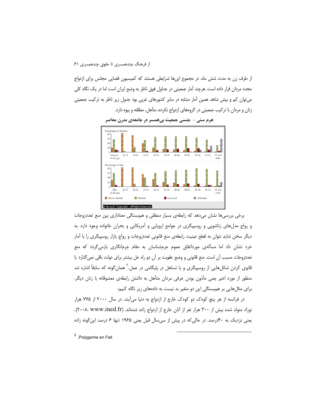از طرف زن به مدت شش ماه. در مجموع اینها شرایطی هستند که کمیسیون قضایی مجلس برای ازدواج مجدد مردان قرار داده است. هرچند آمار جمعیتی در جداول فوق ناظر به وضع ایران است اما در یک نگاه کلی می توان کم و بیش شاهد همین آمار مشابه در سایر کشورهای غربی بود جدول زیر ناظر به ترکیب جمعیتی زنان و مردان با ترکیب جمعیتی در گروههای ازدواج نکرده، متأهل، مطلقه و بیوه دارد.

هرم سنی – جنسی جمعیت بیهمسر در جامعهی مدرن معاصر



برخی بررسیها نشان میدهد که رابطهی بسیار منطقی و هم بستگی معناداری بین منع تعددزوجات و رواج مدلهای زناشویی و روسپیگری در جوامع اروپایی و آمریکایی و بحران خانواده وجود دارد. به دیگر سخن شاید نتوان به قطع عینیت رابطهی منع قانونی تعددزوجات و رواج بازار روسپیگری را با اَمار خرد نشان داد اما مسألهی مورداتفاق عموم جرمشناسان به مقام جرمانگاری بازمیگردد که منع تعددزوجات مسبب أن است. منع قانونی و وضع عقوبت بر أن دو راه حل بیشتر برای دولت باقی نمی گذارد یا قانوی کردن شکلهایی از روسپیگری و یا تساهل در پلیگامی در عمل.<sup>۲</sup> همانگونه که سابقاً اشاره شد منظور از مورد اخیر یعنی مأذون بودن عرفی مردان متأهل به داشتن رابطهی معشوقانه با زنان دیگر. برای مثالهایی بر هم بستگی این دو متغیر بد نیست به دادههای زیر نگاه کنیم:

در فرانسه از هر پنج کودک دو کودک خارج از ازدواج به دنیا می آیند. در سال ۲۰۰۰ از ۷۷۵ هزار نوزاد متولد شده بیش از ۳۰۰ هزار نفر از آنان خارج از ازدواج زاده شدهاند. (۲۰۰۸. www.ined.fr). یعنی نزدیک به ۴۰درصد. در حالی که در پیش از سی سال قبل یعنی ۱۹۶۵ تنها ۶ درصد این گونه زاده

<sup>3</sup>.Polvgamie en Fait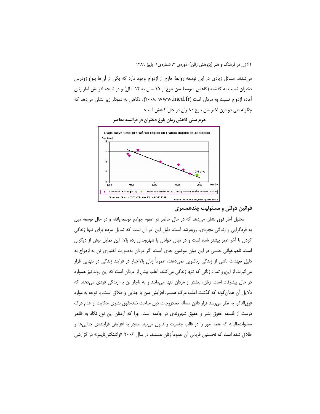میشدند. مسائل زیادی در این توسعه روابط خارج از ازدواج وجود دارد که یکی از آنها بلوغ زودرس دختران نسبت به گذشته (کاهش متوسط سن بلوغ از ۱۵ سال به ۱۲ سال) و در نتیجه افزایش آمار زنان آماده ازدواج نسبت به مردان است (۲۰۰۸. www.ined.fr). نگاهی به نمودار زیر نشان میدهد که چگونه طی دو قرن اخیر سن بلوغ دختران در حال کاهش است:



هرم سنی کاهش زمان بلوغ دختران در فرانسه معاصر

#### قوانين دولتي و مسئوليت چندهمسري

تحلیل آمار فوق نشان میدهد که در حال حاضر در عموم جوامع توسعهیافته و در حال توسعه میل به فردگرایی و زندگی مجردی، روبهرشد است. دلیل این امر آن است که تمایل مردم برای تنها زندگی کردن تا آخر عمر بیشتر شده است و در میان جوانان یا شهروندان رده بالا، این تمایل بیش از دیگران است. ناهمخوانی جنسی در این میان موضوع جدی است. اگر مردان بهصورت اختیاری تن به ازدواج به دلیل تعهدات ناشی از زندگی زناشویی نمیدهند، عموماً زنان بالاجبار در فرایند زندگی در تنهایی قرار می گیرند. از این٫رو تعداد زنانی که تنها زندگی می کنند، اغلب بیش از مردان است که این روند نیز همواره در حال پیشرفت است. زنان، بیشتر از مردان تنها می،مانند و به ناچار تن به زندگی فردی می،دهند که دلایل آن همان گونه که گذشت اغلب مرگ همسر، افزایش سن یا جدایی و طلاق است. با توجه به موارد فوق|لذکر، به نظر می رسد قرار دادن مسأله تعددزوجات ذیل مباحث ضدحقوق بشری حکایت از عدم درک درست از فلسفه حقوق بشر و حقوق شهروندی در جامعه است. چرا که ارمغان این نوع نگاه به ظاهر مساواتطلبانه که همه امور را در قالب جنسیت و قانون می $\mu$ یند منجر به افزایش فزایندهی جداییها و طلاق شده است که نخستین قربانی آن عموماً زنان هستند. در سال ۲۰۰۶ «واشنگتن تایمز» در گزارشی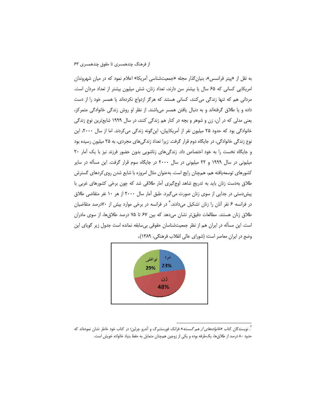به نقل از «پیتر فرانسس»، بنیان گذار مجله «جمعیتشناسی آمریکا» اعلام نمود که در میان شهروندان امریکایی کسانی که ۶۵ سال یا بیشتر سن دارند، تعداد زنان، شش میلیون بیشتر از تعداد مردان است. مردانی هم که تنها زندگی می کنند، کسانی هستند که هرگز ازدواج نکردهاند یا همسر خود را از دست داده و یا طلاق گرفتهاند و به دنبال یافتن همسر میباشند. از نظر او روش زندگی خانوادگی متمرکز، یعنی مدلی که در آن، زن و شوهر و بچه در کنار هم زندگی کنند، در سال ۱۹۹۹ شایعترین نوع زندگی خانوادگی بود که حدود ۲۵ میلیون نفر از آمریکاییان، این گونه زندگی می کردند. اما از سال ۲۰۰۰، این نوع زندگی خانوادگی، در جایگاه دوم قرار گرفت. زیرا تعداد زندگی های مجردی، به ۲۵ میلیون رسیده بود و جایگاه نخست را به خود اختصاص داد. زندگیهای زناشویی بدون حضور فرزند نیز با یک آمار ۲۰ میلیونی در سال ۱۹۹۹ و ۲۲ میلیونی در سال ۲۰۰۰ در جایگاه سوم قرار گرفت. این مسأله در سایر کشورهای توسعهیافته هم، همچنان رایج است. بهعنوان مثال امروزه با شایع شدن روی کردهای گسترش طلاق بهدست زنان باید به تدریج شاهد اوج گیری آمار طلاقی شد که چون برخی کشورهای غربی با پیش دستی در جدایی از سوی زنان صورت میگیرد. طبق آمار سال ۲۰۰۰ از هر ۱۰ نفر متقاضی طلاق در فرانسه ۶ نفر آنان را زنان تشکیل میدادند." در فرانسه در برخی موارد بیش از ۷۰درصد متقاضیان طلاق زنان هستند. مطالعات دقیقتر نشان میدهد که بین ۶۷ تا ۷۵ درصد طلاق ها، از سوی مادران است. این مسأله در ایران هم از نظر جمعیتشناسان حقوقی بی سابقه نمانده است جدول زیر گویای این وضع در ایران معاصر است: (شورای عالی انقلاب فرهنگی، ۱۳۸۹).



<sup>&</sup>lt;sup>۴</sup>. نویسندگان کتاب *«خانوادههای از هم گسسته*» فرانک فورستنبرگ و آندرو چرلین؛ در کتاب خود خاطر نشان نمودهاند که حدود ۸۰ درصد از طلاقها، یکطرفه بوده و یکی از زوجین همچنان متمایل به حفظ بنیاد خانواده خویش است.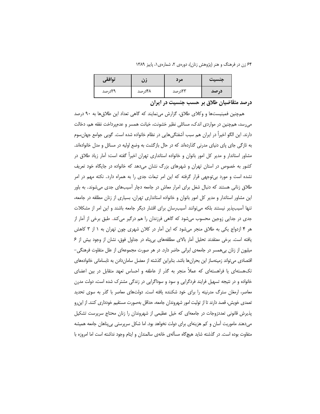۶۴ زن در فرهنگ و هنر (پژوهش زنان)، دورهی ۲، شمارهی ۱، پاییز ۱۳۸۹

| توافقي |        | مر د   | حنسىت<br>$\bullet\bullet$ |
|--------|--------|--------|---------------------------|
| ۲۹درصد | ۴۸درصد | ۲۳درصد | در صد                     |

درصد متقاضیان طلاق بر حسب جنسیت در ایران

همچنین فمینیستها و وکلای طلاق، گزارش مینمایند که گاهی تعداد این طلاقها به ۹۰ درصد می٫رسد، همچنین در مواردی اندک، مسائلی نظیر خشونت، خیانت همسر و عدم<code>یرداخت</code> نفقه هم، دخالت دارند. این الگو اخیراً در ایران هم سبب آشفتگیهایی در نظام خانواده شده است. گویی جوامع جهانِسوم به تازگی جای پای دنیای مدرنی گذاردهاند که در حال بازگشت به وضع اولیه در مسائل و مدل خانوادهاند. مشاور استاندار و مدیر کل امور بانوان و خانواده استانداری تهران اخیرا گفته است: اَمار زیاد طلاق در کشور به خصوص در استان تهران و شهرهای بزرگ نشان میدهد که خانواده در جایگاه خود تعریف نشده است و مورد بی توجهی قرار گرفته که این امر تبعات جدی را به همراه دارد. نکته مهم در امر طلاق زنانی هستند که دنبال شغل برای امرار معاش در جامعه دچار آسیبهای جدی می شوند. به باور این مشاور استاندار و مدیر کل امور بانوان و خانواده استانداری تهران، بسیاری از زنان مطلقه در جامعه، تنها اًسیبپذیر نیستند بلکه میتوانند اًسیبرسان برای اقشار دیگر جامعه باشند و این امر از مشکلات جدی در جدایی زوجین محسوب میشود که گاهی فرزندان را هم درگیر میکند. طبق برخی از آمار از هر ۴ ازدواج یکی به طلاق منجر میشود که این اَمار در کلان شهری چون تهران به ۱ از ۳ کاهش یافته است. برخی معتقدند تحلیل آمار بالای مطلقههای بیپناه در جداول فوق، نشان از وجود بیش از ۶ میلیون از زنان بی همسر در جامعهی ایرانی حاضر دارد. در هر صورت مجموعهای از علل متفاوت فرهنگی– اقتصادی میتواند زمینهساز این بحرانها باشد. بنابراین گذشته از معضل ساماندادن به نابسامانی خانوادههای تکهستهای یا فراهستهای که عملاً منجر به گذر از عاطفه و احساس تعهد متقابل در بین اعضای خانواده و در نتیجه تسهیل فرایند فردگرایی و سود و سوداگرایی در زندگی مشترک شده است، دولت مدرن معاصر، ارمغان سترگ مدرنیته را برای خود شکننده یافته است. دولتهای معاصر با گذر به سوی تحدید تعمدی خویش، قصد دارند تا از تولیت امور شهروندان جامعه، حداقل بهصورت مستقیم خودداری کنند. از این رو پذیرش قانونی تعددزوجات در جامعهای که خیل عظیمی از شهروندان را زنان محتاج سرپرست تشکیل میدهند ماموریت اسان و کم هزینهای برای دولت نخواهد بود. اما شکل سرپرستی بیپناهان جامعه همیشه متفاوت بوده است. در گذشته شاید هیچگاه مسألهی خانهی سالمندان و ایتام وجود نداشته است اما امروزه با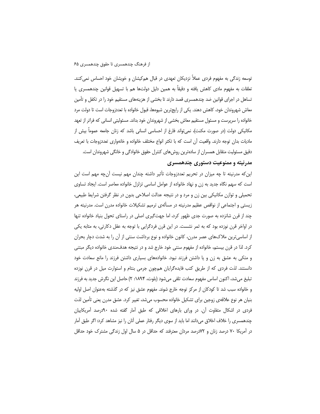توسعه زندگی به مفهوم فردی عملاً نزدیکان تعهدی در قبال هم کیشان و خویشان خود احساس نمی کنند. تعلقات به مفهوم مادی کاهش یافته و دقیقاً به همین دلیل دولتها هم با تسهیل قوانین چندهمسری یا تساهل در اجرای قوانین ضد چندهمسری قصد دارند تا بخشی از هزینههای مستقیم خود را در تکفل و تأمین معاش شهروندان خود، کاهش دهند. یکی از رایج ترین شیوهها، قبول خانواده با تعددزوجات است تا دولت مرد خانواده را سریرست و مسئول مستقیم معاش بخشی از شهروندان خود بداند. مسئولیتی انسانی که فراتر از تعهد مکانیکی دولت (در صورت مکنت)، نمی¤واند فارغ از احساسی انسانی باشد که زنان جامعه عموماً بیش از مادیات بدان توجه دارند. واقعیت آن است که با تکثر انواع مختلف خانواده و خانهواری تعددزوجات با تعریف دقیق مسئولیت متقابل همسران از سادهترین روشهای کنترل حقوق خانوادگی و خانگی شهروندان است.

#### مدرنیته و ممنوعیت دستوری چندهمسری

این که مدرنیته تا چه میزان در تحریم تعددزوجات تأثیر داشته چندان مهم نیست آنچه مهم است این است که سهم نگاه جدید به زن و نهاد خانواده از عوامل اساسی تزلزل خانواده معاصر است. ایجاد تساوی تحمیلی و توازن مکانیکی بین زن و مرد و در نتیجه عدالت اصلاحی بدون در نظر گرفتن شرایط طبیعی، زیستی و اجتماعی از نواقص عظیم مدرنیته در مسألهی ترمیم تشکیلات خانواده مدرن است. مدرنیته هر چند از قرن شانزده به صورت جدی ظهور کرد، اما جهت گیری اصلی در راستای تحول بنیاد خانواده تنها در اواخر قرن نوزده بود که به ثمر نشست. در این قرن فردگرایی با توجه به عقل دکارتی، به مثابه یکی از اساسیترین ملاکهای عصر مدرن، کانون خانواده و نوع برداشت سنتی از آن را به شدت دچار بحران کرد. لذا در قرن بیستم، خانواده از مفهوم سنتی خود خارج شد و در نتیجه هدفءندی خانواده دیگر مبتنی و متکی به عشق به زن و یا داشتن فرزند نبود. خانوادههای بسیاری داشتن فرزند را مانع سعادت خود دانستند. لذت فردی که از طریق کتب فایدهگرایان همچون جرمی بنتام و استوارت میل در قرن نوزده تبليغ مي شد، اكنون اساس مفهوم سعادت تلقى مي شود (بلوت، ١٨٩۴: ٢) حاصل اين نگرش جديد به فرزند و خانواده سبب شد تا کودکان از مرکز توجه خارج شوند. مفهوم عشق نیز که در گذشته بهعنوان اصل اولیه بنیان هر نوع علاقهی زوجین برای تشکیل خانواده محسوب میشد، تغییر کرد. عشق مدرن یعنی تأمین لذت فردی در اشکال متفاوت آن. در ورای بارهای اخلاقی که طبق آمار گفته شده ۹۰درصد آمریکاییان چندهمسری را خلاف اخلاق میدانند اما باید از سوی دیگر رفتار عملی آنان را نیز مشاهد کرد: اگر طبق آمار در آمریکا ۷۰ درصد زنان و ۷۲درصد مردان معترفند که حداقل در ۵ سال اول زندگی مشترک خود حداقل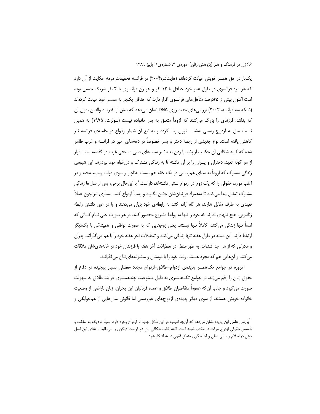یکبار در حق همسر خویش خیانت کردهاند، (هایتشر،۲۰۰۴) در فرانسه تحقیقات مرمه حکایت از آن دارد که هر مرد فرانسوی در طول عمر خود حداقل با ۱۲ نفر و هر زن فرانسوی با ۴ نفر شریک جنسی بوده است اکنون بیش از ۳۵درصد متأهل های فرانسوی اقرار دارند که حداقل یکبار به همسر خود خیانت کردهاند (شبکه سه فرانسه، ۲۰۰۴) بررسیهای جدید روی DNA نشان میدهد که بیش از ۴درصد والدین بدون آن که بدانند، فرزندی را بزرگ میکنند که لزوماً متعلق به پدر خانواده نیست (سولرت، ۱۹۹۵) به همین نسبت میل به ازدواج رسمی بهشدت نزول پیدا کرده و به تبع آن شمار ازدواج در جامعهی فرانسه نیز کاهش یافته است. نوع جدیدی از رابطه دختر و پسر خصوصاً در دهههای اخیر در فرانسه و غرب ظاهر شده که کالبد شکافی آن حکایت از پشتپا زدن به بیشتر سنتهای دینی مسیحی غرب در گذشته است. فرار از هر گونه تعهد، دختران و پسران را بر آن داشته تا به زندگی مشترک و دل خواه خود بپردازند. این شیوهی زندگی مشترک که لزوماً به معنای همزیستی در یک خانه هم نیست بهناچار از سوی دولت رسمیتیافته و در اغلب موارد، حقوقی را که یک زوج در ازدواج سنتی داشتهاند، داراست.<sup>۵</sup> با این حال برخی، پس از سال ها زندگی مشترک تمایل پیدا می کنند تا بههمراه فرزندانِشان جشن بگیرند و رسماً ازدواج کنند. بسیاری نیز چون عملاً تعهدی به طرف مقابل ندارند، هر گاه اراده کنند به رابطهی خود پایان میدهند و یا در عین داشتن رابطه زناشویی، هیچ تعهدی ندارند که خود را تنها به روابط مشروع محصور کنند. در هر صورت حتی تمام کسانی که اسماً تنها زندگی می کنند، کاملاً تنها نیستند. یعنی زوجهایی که به صورت توافقی و همیشگی با یک دیگر ارتباط دارند. این دسته در طول هفته تنها زندگی می کنند و تعطیلات آخر هفته خود را با هم می گذرانند. پدران و مادرانی که از هم جدا شدهاند، به طور منظم در تعطیلات آخر هفته با فرزندان خود در خانههای شان ملاقات می کنند و آنهایی هم که مجرد هستند، وقت خود را با دوستان و معشوقههایشان می گذرانند.

امروزه در جوامع تکهمسر پدیدهی ازدواج-طلاق-ازدواج مجدد معضلی بسیار پیچیده در دفاع از حقوق زنان را رقم می;ند. در جوامع تکهمسری به دلیل ممنوعیت چندهمسری فرایند طلاق به سهولت صورت می گیرد و جالب آن که عموماً متقاضیان طلاق و عمده قربانیان این بحران، زنان ناراضی از وضعیت خانواده خویش هستند. از سوی دیگر پدیدهی ازدواجهای غیررسمی اما قانونی مدلهایی از همخوابگی و

<sup>&</sup>quot;بررسی علمی این پدیده نشان میدهد که آنچه امروزه در این شکل جدید از ازدواج وجود دارد، بسیار نزدیک به ساخت و تأسيس حقوقي ازدواج موقت در مكتب شيعه است. البته كالب شكافي اين دو فرصت ديگري را مىطلبد تا غناي اين اصل دینی در اسلام و مبانی عقلی و آیندهنگری منطق فقهی شیعه آشکار شود.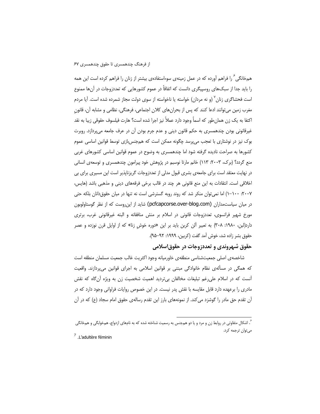همخانگی ً را فراهم آورده که در عمل زمینهی سوءاستفادهی بیشتر از زنان را فراهم کرده است این همه را باید جدا از سبکهای روسپیگری دانست که اتفاقاً در عموم کشورهایی که تعددزوجات در آنها ممنوع است فحشاگری زنان<sup>7</sup> (و نه مردان) خواسته یا ناخواسته از سوی دولت مجاز شمرده شده است. آیا مردم مغرب زمین می توانند ادعا کنند که پس از بحران های کلان اجتماعی، فرهنگی، نظامی و مشابه آن، قانون اكتفا به يک زن همانٍطور که اسماً وجود دارد عملاً نيز اجرا شده است؟ هارت فيلسوف حقوقي زيبا به نقد غیرقانونی بودن چندهمسری به حکم قانون دینی و عدم جرم بودن آن در عرف جامعه میپردازد. روبرت بوک نیز در نوشتاری با تعجب می پرسد چگونه ممکن است که هم جنس بازی توسط قوانین اساسی عموم کشورها به صراحت نادیده گرفته شود اما چندهمسری به وضوح در عموم قوانین اساسی کشورهای غربی منع گردد؟ (برک، ۲۰۰۳: ۱۱۳) خانم مارتا نوسبم در پژوهش خود پیرامون چندهمسری و توسعهی انسانی در نهایت معتقد است برای جامعهی بشری قبول مدلی از تعددزوجات گریزناپذیر است این مسیری برای بی اخلاقی است. انتقادات به این منع قانونی هر چند در قالب برخی فرقههای دینی و مذهبی باشد (هایس، ۰۲۰۰۷: ۱۰۰–۱) اما نمی توان منکر شد که روند روبه گسترشی است نه تنها در میان حقوق دانان بلکه حتی در میان سیاست.مداران (pcfcapcorse.over-blog.com) شاید از این روست که از نظر گوستاولوبون مورخ شهیر فرانسوی، تعددزوجات قانونی در اسلام بر منش منافقانه و البته غیرقانونی غرب، برتری دارد(لبن، ۱۹۸۰: ۳۰۸) به تعبیر آلن کربن باید بر این «دوره خوش زنا» که از اوایل قرن نوزده و عصر حقوق بشر زاده شد، خوش آمد گفت (کربین، ۱۹۹۹: ۹۲–۹۵).

#### حقوق شهروندي و تعددزوجات در حقوق|سلامي

شاخصهى اصلى جمعيتشناسي منطقهى خاورميانه وجود اكثريت غالب جمعيت مسلمان منطقه است که همگی در مسألهی نظام خانوادگی مبتنی بر قوانین اسلامی به اجرای قوانین میپردازند. واقعیت أنست که در اسلام علی رغم تبلیغات مخالفان بیتردید اهمیت شخصیت زن به ویژه آنگاه که نقش مادری را برعهده دارد قابل مقایسه با نقش پدر نیست. در این خصوص روایات فراوانی وجود دارد که در آن تقدم حق مادر را گوشزد می کند. از نمونههای بارز این تقدم رسالهی حقوق امام سجاد (ع) که در آن

<sup>&</sup>lt;sup>۶</sup>. اشکال متفاوتی در روابط زن و مرد و یا دو همجنس به رسمیت شناخته شده که به نامهای ازدواج، همخوابگی و همخانگی مىتوان ترجمه كرد.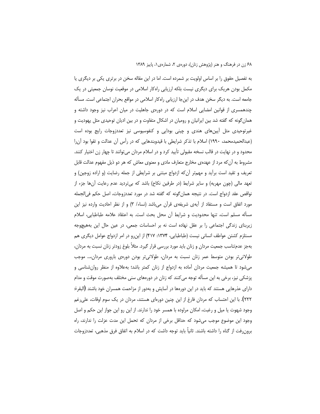به تفصیل حقوق را بر اساس اولویت بر شمرده است. اما در این مقاله سخن در برتری یکی بر دیگری یا مکمل بودن هریک برای دیگری نیست بلکه ارزیابی راهکار اسلامی در موقعیت نوسان جمعیتی در یک جامعه است. به دیگر سخن هدف در این جا ارزیابی راهکار اسلامی در مواقع بحران اجتماعی است. مسأله چندهمسری از قوانین امضایی اسلام است که در دورهی جاهلیت در میان اعراب نیز وجود داشته و همان گونه که گفته شد بین ایرانیان و رومیان در اشکال متفاوت و در بین ادیان توحیدی مثل یهودیت و غیرتوحیدی مثل أیینهای هندی و چینی بودایی و کنفوسیوسی نیز تعددزوجات رایج بوده است (عبدالحمیدمحمد، ۱۹۹۰) اسلام با تذکر شرایطی با قیدوبندهایی که در رأس آن عدالت و تقوا بود آن را محدود و در نهایت در قالب نسخه مقبولی تأیید کرد و در اسلام مردان میتوانند تا چهار زن اختیار کنند. مشروط به آن که مرد از عهدهی مخارج متعارف مادی و معنوی معاش که هر دو ذیل مفهوم عدالت قابل تعریف و تقید است برآید و مهمتر آن که ازدواج مبتنی بر شرایطی از جمله رضایت (و اراده زوجین) و تعهد مالی (چون مهریه) و سایر شرایط (در طرفین نکاح) باشد که بیتردید عدم رعایت آنها جزء از نواقص عقد ازدواج است. در نتيجه همانٍ گونه كه گفته شد در مورد تعددزوجات، اصل حكم في|لجمله مورد اتفاق است و مستفاد از أيه ي شريفه ي قرآن مي باشد (نساء/ ٣) و از نظر احاديث وارده نيز اين مسأله مسلم است، تنها محدوديت و شرايط أن محل بحث است. به اعتقاد علامه طباطبايي، اسلام زیربنای زندگی اجتماعی را بر عقل نهاده است نه بر احساسات جمعی، در عین حال این بههیچوجه مستلزم کشتن عواطف انسانی نیست (طباطبایی، ۱۳۷۴: ۴۱۷) از این رو در امر ازدواج عوامل دیگری هم بهجز عدمتناسب جمعیت مردان و زنان باید مورد بررسی قرار گیرد. مثلاً بلوغ زودتر زنان نسبت به مردان، طولانی تر بودن متوسط عمر زنان نسبت به مردان، طولانی تر بودن دورهی باروری مردان،... موجب میشود تا همیشه جمعیت مردان آماده به ازدواج از زنان کمتر باشد؛ بهعلاوه از منظر روانشناسی و پزشکی نیز، برخی به این مسأله توجه می کنند که زنان در دورههای سنی مختلف بهصورت موقت و مدام دارای عذرهایی هستند که باید در این دورهها در آسایش و بهدور از مزاحمت همسران خود باشند (البقرة: ٢٢٢). با این احتساب که مردان فارغ از این چنین دورهای هستند، مردان در یک سوم اوقات، علی غم وجود شهوت یا میل و رغبت، امکان مراوده با همسر خود را ندارند. از این رو این جواز این حکم و اصل وجود این موضوع موجب میشود که حداقل برخی از مردان که تحمل این مدت عزلت را ندارند، راه برون٫فت از گناه را داشته باشند. ثانیاً باید توجه داشت که در اسلام به اتفاق فرق مذهبی، تعددزوجات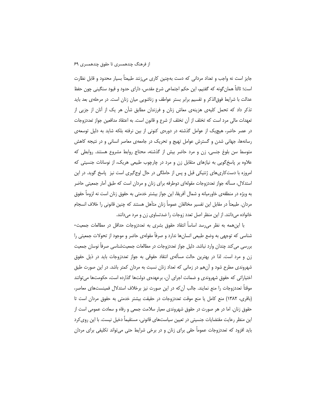جایز است نه واجب و تعداد مردانی که دست بهچنین کاری می;نند طبیعتاً بسیار محدود و قابل نظارت است؛ ثالثاً همان گونه که گفتیم، این حکم اجتماعی شرع مقدس، دارای حدود و قیود سنگینی چون حفظ عدالت با شرایط فوق|لذکر و تقسیم برابر بستر عواطف و زناشویی میان زنان است. در مرحلهی بعد باید تذکر داد که تحمل کلیهی هزینهی معاش زنان و فرزندان مطابق شأن هر یک از آنان از جزیی از تعهدات مالی مرد است که تخلف از آن تخلف از شرع و قانون است. به اعتقاد مدافعین جواز تعددزوجات در عصر حاضر، هیچیک از عوامل گذشته در دورهی کنونی از بین نرفته بلکه شاید به دلیل توسعهی رسانهها، جهانی شدن و گسترش عوامل تهیج و تحریک در جامعهی معاصر انسانی و در نتیجه کاهش متوسط سن بلوغ جنسی، زن و مرد حاضر بیش از گذشته، محتاج روابط مشروع هستند. روابطی که علاوه بر پاسخگویی به نیازهای متقابل زن و مرد در چارچوب طبیعی هریک، از نوسانات جنسیتی که امروزه با دست کاریهای ژنتیکی قبل و پس از حاملگی در حال اوج گیری است نیز پاسخ گوید. در این استدلال، مسأله جواز تعددزوجات مقولهای دوطرفه برای زنان و مردان است که طبق آمار جمعیتی حاضر به ویژه در منطقهی خاورمیانه و شمال آفریقا، این جواز بیشتر خدمتی به حقوق زنان است نه لزوماً حقوق مردان. طبیعتاً در مقابل این تفسیر مخالفان عموماً زنان متأهل هستند که چنین قانونی را خلاف انسجام خانواده میدانند. از این منظر اصل تعدد زوجات را ضدتساوی زن و مرد میدانند.

با این همه به نظر می رسد اساساً انتقاد حقوق بشری به تعددزوجات حداقل در مطالعات جمعیت-شناسی که توجهی به وضع طبیعی انسانها ندارد و صرفاً مقولهی حاضر و موجود از تحولات جمعیتی را بررسی می کند چندان وارد نباشد. دلیل جواز تعددزوجات در مطالعات جمعیتشناسی صرفاً نوسان جمعیت زن و مرد است. لذا در بهترین حالت مسألهى انتقاد حقوقى به جواز تعددزوجات باید در ذیل حقوق شهروندی مطرح شود و آنهم در زمانی که تعداد زنان نسبت به مردان کمتر باشد. در این صورت طبق اختیاراتی که حقوق شهروندی و ضمانت اجرای آن، برعهدهی دولتها گذارده است، حکومتها می¤وانند موقتاً تعددزوجات را منع نمایند. جالب آن که در این صورت نیز برخلاف استدلال فمینستهای معاصر، (باقری، ١٣٨٢) منع كامل يا منع موقت تعددزوجات در حقيقت بيشتر خدمتى به حقوق مردان است تا حقوق زنان. اما در هر صورت در حقوق شهروندی معیار سلامت جمعی و رفاه و سعادت عمومی است از این منظر رعایت مقتضایات جنسیتی در تعیین سیاستهای قانونی، مستقیماً دخیل نیست. با این روی کرد باید افزود که تعددزوجات عموماً حقی برای زنان و در برخی شرایط حتی میتواند تکلیفی برای مردان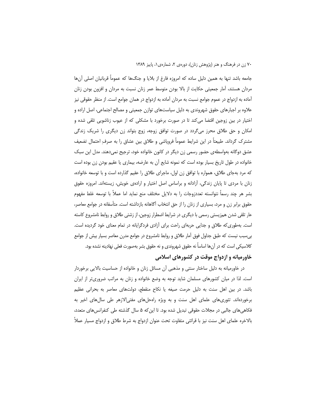جامعه باشد تنها به همین دلیل ساده که امروزه فارغ از بلایا و جنگ@ا که عموماً قربانیان اصلی آنها مردان هستند، آمار جمعیتی حکایت از بالا بودن متوسط عمر زنان نسبت به مردان و افزون بودن زنان آماده به ازدواج در عموم جوامع نسبت به مردان آماده به ازدواج در همان جوامع است. از منظر حقوقی نیز علاوه بر اجبارهای حقوق شهروندی به دلیل سیاستهای توازن جمعیتی و مصالح اجتماعی، اصل اراده و اختیار در بین زوجین اقتضا می کند تا در صورت برخورد با مشکلی که از عیوب زناشویی تلقی شده و امکان و حق طلاق محرز میگردد در صورت توافق زوجه، زوج بتواند زن دیگری را شریک زندگی مشترک گرداند. طبیعتاً در این شرایط عموماً فروپاشی و طلاق بین عشاق را به صرف احتمال تضعیف عشق دوگانه بهواسطهی حضور رسمی زن دیگر در کانون خانواده خود، ترجیح نمیدهند. مدل این سبک خانواده در طول تاریخ بسیار بوده است که نمونه شایع آن به عارضه، بیماری یا عقیم بودن زن بوده است که مرد بهجای طلاق، همواره با توافق زن اول، ماجرای طلاق را عقیم گذارده است و با توسعه خانواده، زنان با مردی تا پایان زندگی، آزادانه و براساس اصل اختیار و ارادهی خویش، زیستهاند. امروزه حقوق بشر هر چند رسماً نتوانسته تعددزوجات را به دلایل مختلف منع نماید اما عملاً با توسعه غلط مفهوم حقوق برابر زن و مرد، بسیاری از زنان را از حق انتخاب آگاهانه بازداشته است. متأسفانه در جوامع معاصر، عار تلقی شدن همزیستی رسمی با دیگری در شرایط اضطرار زوجین، از زشتی طلاق و روابط نامشروع کاسته است. بهطوری که طلاق و جدایی حربهای راحت برای آزادی فردگرایانه در تمام معنای خود گردیده است. بی سبب نیست که طبق جداول فوق آمار طلاق و روابط نامشروع در جوامع مدرن معاصر بسیار بیش از جوامع كلاسيكي است كه در آنها اساساً نه حقوق شهروندي و نه حقوق بشر بهصورت فعلي نهادينه نشده بود.

## خاورمیانه و ازدواج موقت در کشورهای اسلامی

در خاورمیانه به دلیل ساختار سنتی و مذهبی آن مسائل زنان و خانواده از حساسیت بالایی برخوردار است. لذا در میان کشورهای مسلمان شاید توجه به وضع خانواده و زنان به مراتب ضروری تر از ایران باشد. در بین اهل سنت به دلیل حرمت صیغه یا نکاح منقطع، دولتهای معاصر به بحرانی عظیم برخوردهاند. تئوری های علمای اهل سنت و به ویژه راهحل های مفتی الازهر طی سال های اخیر به فکاهی های جالبی در مجلات حقوقی تبدیل شده بود. تا این که ۵ سال گذشته طی کنفرانس های متعدد، بالاخره علماي اهل سنت نيز با قرائتي متفاوت تحت عنوان ازدواج به شرط طلاق و ازدواج مسيار عملاً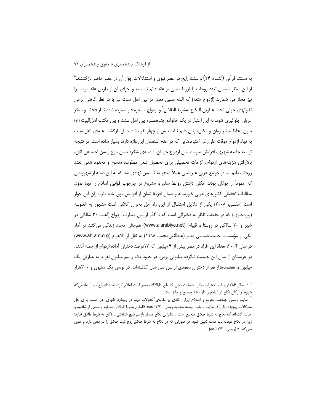به مستند قرآنی (النساء: ۲۴) و سنت رایج در عصر نبوی و استدلالات جواز آن در عصر حاضر بازگشتند.^ از این منظر شیعیان تعدد زوجات را لزوما مبتنی بر عقد دائم ندانسته و اجرای آن از طریق عقد موقت را نیز مجاز می شمارند (ازدواج متعه) که البته همین معیار در ببن اهل سنت نیز با در نظر گرفتن برخی تفاوتهای جزئی تحت عناوین النکاح بهشرط الطلاق<sup>۹</sup> و ازدواج مسیارمجاز شمرده شده تا از فحشا و منکر عریان جلوگیری شود. به این اعتبار در یک خانواده چندهمسره بین اهل سنت و بین مکتب اهل|لبیت (ع) بدون لحاظ متغیر زمان و مکان، زنان دایم نباید بیش از چهار نفر باشد. دلیل بازگشت علمای اهل سنت به نهاد ازدواج موقت علی رغم احتیاطهایی که در عدم استعمال این واژه دارند بسیار ساده است. در نتیجه توسعه جامعه شهري، افزايش متوسط سن ازدواج جوانان، فاصلهي شگرف سن بلوغ و سن اجتماعي أنان، بالارفتن هزينههاى ازدواج، الزامات تحصيلى براى تحصيل شغل مطلوب، مذموم و محدود شدن تعدد زوجات دایم، … در جوامع عربی غیرشیعی عملاً منجر به تأسیس نهادی شد که به این دسته از شهروندان که عموماً از جوانان بودند امکان داشتن روابط سالم و مشروع در چارچوب قوانین اسلام را مهیا نمود. مطالعات تحقیقی کشورهای عربی خاورمیانه و شمال أفریقا نشان از افزایش فوق|لعاده طرفداران این جواز است (حفنـی، ۲۰۰۸) یکی از دلایل استقبال از این راه حل بحران کلانی است مشهور به العنوسه (پیردختری) که در حقیقت ناظر به دخترانی است که با گذر از سن متعارف ازدواج (اغلب ۳۰ سالگی در شهر و ۲۰ سالگی در روستا و قبیله) (www.alarabiya.net) همچنان مجرد زندگی میکنند در اَمار یکی از مؤسسات جمعیتشناسی مصر (عبدالغنی محمد، ۱۹۹۸) به نقل از الاهرام (www.ahram.org) در سال ۲۰۰۴، تعداد این افراد در مصر بیش از ۹ میلیون که ۱۷درصد دختران آماده ازدواج از جمله آنانند، در عربستان از میان این جمعیت شانزده میلیونی بومی، در حدود یک و نیم میلیون نفر یا به عبارتی یک میلیون و هفتصدهزار نفر از دختران سعودی از سن سی سال گذشتهاند، در تونس یک میلیون و ۳۰۰هزار

<sup>٬</sup> در سال ۱۳۸۶روزنامه الاهرام، مرکز تحقیقات دینی که تابع دارالافتاء مصر است اعلام کرده است:ازدواج میسار مادامیکه شروط و ارکان نکاح در اسلام را دارا باشد صحیح و جایز است.

<sup>&</sup>lt;sup>"</sup>. سایت رسمی جماعت دعوت و اصلاح ایران: نقدی بر مقالهی"تحولات مهم در رویکرد فقهای اهل سنت برای حل مشكلات پيچيده زنان، در سايت بازتاب، نوشته محمود ويسى ٨۵/٠٢/٣٠ «النكاح بشرط الطلاق...حنفيه و بعضي از شافعيه و حنابله گفتهاند که نکاح به شرط طلاق صحیح است . بنابراین نکاح مسیار بازهم هیچ شباهتی با نکاح به شرط طلاق ندارد؛ زیرا در نکاح موقت باید مدت تعیین شود. در صورتی که در نکاح به شرط طلاق زوج نیت طلاق را در ذهن دارد و معین نمی کند.» (ویسی ۲/۳۰/۸۵/۰۲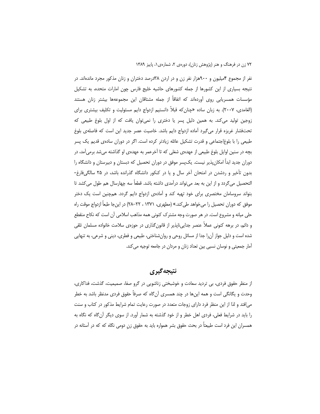نفر از مجموع ۴میلیون و ۹۰۰هزار نفر زن و در اردن ۳۸درصد دختران و زنان مذکور مجرد ماندهاند. در نتیجه بسیاری از این کشورها از جمله کشورهای حاشیه خلیج فارس چون امارات متحده، به تشکیل مؤسسات همسریابی روی آوردهاند که اتفاقاً از جمله مشتاقان این مجموعهها بیشتر زنان هستند (الغامدی، ۲۰۰۷). به زبان ساده «چنان که قبلاً دانستیم ازدواج دایم مسئولیت و تکلیف بیشتری برای زوجین تولید می کند. به همین دلیل پسر یا دختری را نمی توان یافت که از اول بلوغ طبیعی که تحتفشار غریزه قرار میگیرد آماده ازدواج دایم باشد. خاصیت عصر جدید این است که فاصلهی بلوغ طبیعی را با بلوغاجتماعی و قدرت تشکیل عائله زیادتر کرده است. اگر در دوران سادهی قدیم یک پسر بچه در سنین اوایل بلوغ طبیعی از عهدهی شغلی که تا آخرعمر به عهدهی او گذاشته میشد برمیآمد، در دوران جدید ابدأ امکان پذیر نیست. یک $وسر موفق در دوران تحصیل که دبستان و دبیرستان و دانشگاه را$ بدون تأخیر و ردشدن در امتحان آخر سال و یا در کنکور دانشگاه گذرانده باشد، در ۲۵ سالگیفارغ-التحصیل می گردد و از این به بعد می تواند درآمدی داشته باشد. قطعاً سه چهارسال هم طول می کشد تا بتواند سروسامان مختصری برای خود تهیه کند و آمادهی ازدواج دایم گردد. همچنین است یک دختر موفق که دوران تحصیل را میخواهد طی کند.» (مطهری، ۱۳۷۱ ، ۲۲–۲۸) در اینجا طبعاً ازدواج موقت راه حلی میانه و مشروع است. در هر صورت وجه مشترک کنونی همه مذاهب اسلامی آن است که نکاح منقطع و دائم، در برهه کنونی عملاً عنصر جدایی،ناپذیر از قانون گذاری در حوزهی سلامت خانواده مسلمان تلقی شده است و دلیل جواز آن را جدا از مسائل روحی و روانشناختی، طبیعی و فطری، دینی و شرعی، به تنهایی آمار جمعیتی و نوسان نسبی بین تعداد زنان و مردان در جامعه توجیه می کند.

# نتىجەگىرى

از منظر حقوق فردی، بی تردید سعادت و خوشبختی زناشویی در گرو صفا، صمیمیت، گذشت، فداکاری، وحدت و یگانگی است و همه اینها در چند همسری آنگاه که صرفاً حقوق فردی مدنظر باشد به خطر می|فتد و لذا از این منظر فرد دارای زوجات متعدد در صورت رعایت تمام شرایط مذکور در کتاب و سنت را باید در شرایط فعلی، فردی اهل خطر و از خود گذشته به شمار آورد. از سوی دیگر آن گاه که نگاه به همسران این فرد است طبیعتاً در بحث حقوق بشر همواره باید به حقوق زن دومی نگاه که که در آستانه در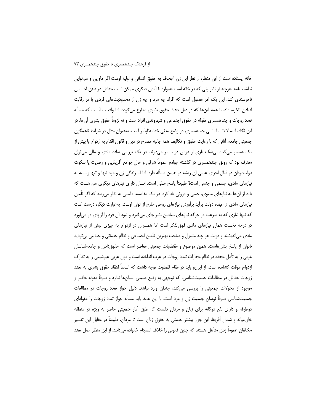خانه ایستاده است از این منظر، از نظر این زن اجحاف به حقوق انسانی و اولیه اوست اگر ماوایی و همزوایی نداشته باشد هرچند از نظر زنی که در خانه است همواره با آمدن دیگری ممکن است حداقل در ذهن احساس ناخرسندی کند. این یک امر معمول است که افراد چه مرد و چه زن از محدودیتهای فردی یا در رقابت افتادن ناخرسندند. با همه اینها که در ذیل بحث حقوق بشری مطرح می گردد، اما واقعیت آنست که مسأله تعدد زوجات و چندهمسری مقوله در حقوق اجتماعی و شهروندی افراد است و نه لزوماً حقوق بشری آنها. در این نگاه، استدلالات اساسی چندهمسری در وضع مدنی خدشهناپذیر است. بهعنوان مثال در شرایط ناهمگون جمعيتي جامعه، آناني كه با رعايت حقوق و تكاليف همه جانبه مصرح در دين و قانون اقدام به ازدواج با بيش از یک همسر میکنند بیشک باری از دوش دولت بر میدارند. در یک بررسی ساده مادی و مالی میتوان معترف بود که رونق چندهمسری در گذشته جوامع عموماً شرقی و حال جوامع آفریقایی و رضایت یا سکوت دولتمردان در قبال اجرای عملی آن ریشه در همین مسأله دارد. اما آیا زندگی زن و مرد تنها و تنها وابسته به نیازهای مادی، جسمی و جنسی است؟ طبیعتاً یاسخ منفی است. انسان دارای نیازهای دیگری هم هست که باید از آنها به نیازهای معنوی، حسی و درونی یاد کرد. در یک مقایسه، طبیعی به نظر می رسد که اگر تأمین نیازهای مادی از عهده دولت برآید برآوردن نیازهای روحی خارج از توان اوست. بهعبارت دیگر، درست است که تنها نیازی که به سرعت در جرگه نیازهای بنیادین بشر جای میگیرد و نبود آن فرد را از پای در میآورد در درجه نخست همان نیازهای مادی فوق|لذکر است اما همسران در ازدواج به چیزی بیش از نیازهای مادی می|ندیشند و دولت هر چند متمول و صاحب بهترین تأمین اجتماعی و نظام خدماتی و حمایتی بیتردید ناتوان از پاسخ بدانهاست. همین موضوع و مقتضیات جمعیتی معاصر است که حقوق(انان و جامعهشناسان غربی را به تأمل مجدد در نظام مجازات تعدد زوجات در غرب انداخته است و دول عربی غیرشیعی را به تدارک ازدواج موقت کشانده است. از این رو باید در مقام قضاوت توجه داشت که اساساً انتقاد حقوق بشری به تعدد زوجات حداقل در مطالعات جمعیتشناسی، که توجهی به وضع طبیعی انسانها ندارد و صرفاً مقوله حاضر و موجود از تحولات جمعیتی را بررسی میکند، چندان وارد نباشد. دلیل جواز تعدد زوجات در مطالعات جمعیتشناسی صرفاً نوسان جمعیت زن و مرد است. با این همه باید مسأله جواز تعدد زوجات را مقولهای دوطرفه و دارای نفع دوگانه برای زنان و مردان دانست که طبق آمار جمعیتی حاضر به ویژه در منطقه خاورمیانه و شمال آفریقا، این جواز بیشتر خدمتی به حقوق زنان است تا مردان. طبیعتاً در مقابل این تفسیر مخالفان عموماً زنان متأهل هستند كه چنين قانوني را خلاف انسجام خانواده مىدانند. از اين منظر اصل تعدد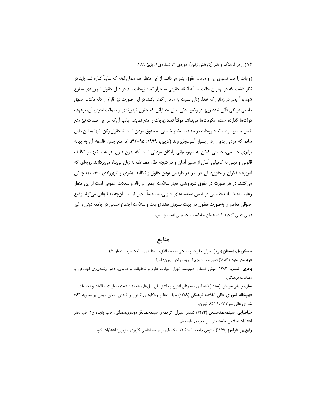زوجات را ضد تساوی زن و مرد و حقوق بشر میدانند. از این منظر هم همان گونه که سابقاً اشاره شد، باید در نظر داشت که در بهترین حالت مسأله انتقاد حقوقی به جواز تعدد زوجات باید در ذیل حقوق شهروندی مطرح شود و آنهم در زمانی که تعداد زنان نسبت به مردان کمتر باشد. در این صورت نیز فارغ از ادله مکتب حقوق طبیعی در نفی ذاتی تعدد زوج، در وضع مدنی طبق اختیاراتی که حقوق شهروندی و ضمانت اجرای آن، برعهده دولتها گذارده است، حکومتها می¤وانند موقتاً تعدد زوجات را منع نمایند. جالب آن که در این صورت نیز منع كامل يا منع موقت تعدد زوجات در حقيقت بيشتر خدمتي به حقوق مردان است تا حقوق زنان، تنها به اين دليل ساده که مردان بدون زنان بسیار آسیبپذیرترند (کربین، ۱۹۹۹: ۹۵–۹۲). اما منع بدون فلسفه آن به بهانه برابری جنسیتی، خدمتی کلان به شهوترانی رایگان مردانی است که بدون قبول هزینه یا تعهد و تکلیف قانونی و دینی به کامیابی آسان از مسیر آسان و در نتیجه ظلم مضاعف به زنان بی پناه می پردازند. رویهای که امروزه متفکران از حقوقدانان غرب را در طرفینی بودن حقوق و تکالیف بشری و شهروندی سخت به چالش می کشد. در هر صورت در حقوق شهروندی معیار سلامت جمعی و رفاه و سعادت عمومی است از این منظر رعایت مقتضایات جنسیتی در تعیین سیاستهای قانونی، مستقیماً دخیل نیست. آنچه به تنهایی میتواند وضع حقوقي معاصر را بهصورت معقول در جهت تسهيل تعدد زوجات و سلامت اجتماع انساني در جامعه ديني و غير ديني فعلى توجيه كند، همان مقتضيات جمعيتي است و بس.

## منابع

باسکرویل، استفان (بیتا) بحران خانواده و صنعتی به نام طلاق، ماهنامهی سیاحت غرب، شماره ۴۶. فريدمن، جين (١٣٨٣) فمينيسم، مترجم فيروزه مهاجر، تهران: آشيان. **باقری، خسرو (**۱۳۸۲) مبانی فلسفی فمینیسم، تهران: وزارت علوم و تحقیقات و فنّاوری، دفتر برنامهریزی اجتماعی و مطالعات فرهنگے. سازمان ملی جوانان، (۱۳۸۸) نگاه آماری به وقایع ازدواج و طلاق طی سالهای ۱۳۷۵ تا ۱۳۸۷، معاونت مطالعات و تحقیقات. دبیرخانه شورای عالی انقلاب فرهنگی (۱۳۸۹) سیاستها و راهکارهای کنترل و کاهش طلاق مبتنی بر مصوبه ۵۶۴ شورای عالی مورخ ۸۴/۰۴/۰۷ تهران. طباطبایی، سیدمحمدحسین (۱۳۷۴) تفسیر المیزان، ترجمهی سیدمحمدباقر موسویهمدانی، چاپ پنجم، ج۲، قم: دفتر انتشارات اسلامی جامعه مدرسین حوزهی علمیه قم.

**رفیع پور، فرامرز (۱۳۷۷)** آناتومی جامعه یا سنهٔ الله: مقدمهای بر جامعهشناسی کاربردی، تهران: انتشارات کاوه.